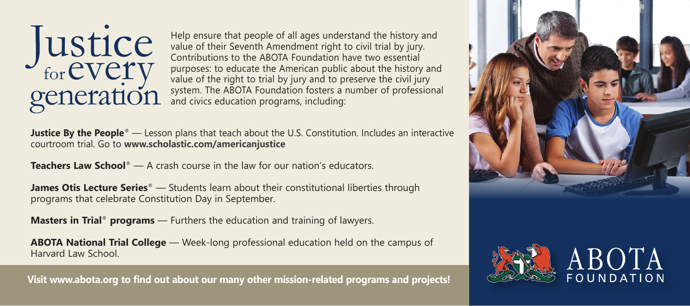

Help ensure that people of all ages understand the history and value of their Seventh Amendment right to civil trial by jury. Contributions to the ABOTA Foundation have two essential purposes: to educate the American public about the history and value of the right to trial by jury and to preserve the civil jury system. The ABOTA Foundation fosters a number of professional and civics education programs, including:

**Justice By the People<sup>®</sup>** — Lesson plans that teach about the U.S. Constitution. Includes an interactive courtroom trial. Go to **www.scholastic.com/americanjustice**

**Teachers Law School**® — A crash course in the law for our nation's educators.

**James Otis Lecture Series**<sup>®</sup> — Students learn about their constitutional liberties through programs that celebrate Constitution Day in September.

**Masters in Trial**® **programs** — Furthers the education and training of lawyers.

**ABOTA National Trial College** — Week-long professional education held on the campus of Harvard Law School.

**Visit www.abota.org to find out about our many other mission-related programs and projects!**



ABOTA